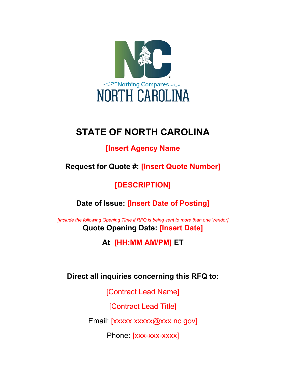

# **STATE OF NORTH CAROLINA**

# **[Insert Agency Name**

**Request for Quote #: [Insert Quote Number]**

# **[DESCRIPTION]**

**Date of Issue: [Insert Date of Posting]** 

*[Include the following Opening Time if RFQ is being sent to more than one Vendor]* **Quote Opening Date: [Insert Date]**

**At [HH:MM AM/PM] ET** 

**Direct all inquiries concerning this RFQ to:** 

[Contract Lead Name]

[Contract Lead Title]

Email: [xxxxx.xxxxxx.axxx.nc.gov]

Phone: [xxx-xxx-xxxx]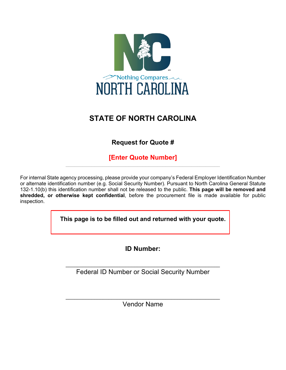

# **STATE OF NORTH CAROLINA**

# **Request for Quote #**

**[Enter Quote Number]**  $\mathcal{L}_\text{max}$  and  $\mathcal{L}_\text{max}$  and  $\mathcal{L}_\text{max}$  and  $\mathcal{L}_\text{max}$  and  $\mathcal{L}_\text{max}$  and  $\mathcal{L}_\text{max}$ 

For internal State agency processing, please provide your company's Federal Employer Identification Number or alternate identification number (e.g. Social Security Number). Pursuant to North Carolina General Statute 132-1.10(b) this identification number shall not be released to the public. **This page will be removed and shredded, or otherwise kept confidential**, before the procurement file is made available for public inspection.

**This page is to be filled out and returned with your quote.** 

**ID Number:** 

 $\_$  , and the set of the set of the set of the set of the set of the set of the set of the set of the set of the set of the set of the set of the set of the set of the set of the set of the set of the set of the set of th Federal ID Number or Social Security Number

\_\_\_\_\_\_\_\_\_\_\_\_\_\_\_\_\_\_\_\_\_\_\_\_\_\_\_\_\_\_\_\_\_\_\_\_\_\_\_\_\_\_\_\_\_\_\_\_\_\_\_\_\_\_ Vendor Name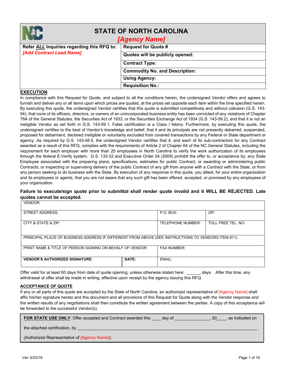|                                            | <b>STATE OF NORTH CAROLINA</b><br>[Agency Name] |  |
|--------------------------------------------|-------------------------------------------------|--|
| Refer ALL Inquiries regarding this RFQ to: | <b>Request for Quote #</b>                      |  |
| [Add Contract Lead Name]                   | Quotes will be publicly opened:                 |  |
|                                            | <b>Contract Type:</b>                           |  |
|                                            | <b>Commodity No. and Description:</b>           |  |
|                                            | <b>Using Agency:</b>                            |  |
|                                            | <b>Requisition No.:</b>                         |  |

#### **EXECUTION**

In compliance with this Request for Quote, and subject to all the conditions herein, the undersigned Vendor offers and agrees to furnish and deliver any or all items upon which prices are quoted, at the prices set opposite each item within the time specified herein. By executing this quote, the undersigned Vendor certifies that this quote is submitted competitively and without collusion (G.S. 143- 54), that none of its officers, directors, or owners of an unincorporated business entity has been convicted of any violations of Chapter 78A of the General Statutes, the Securities Act of 1933, or the Securities Exchange Act of 1934 (G.S. 143-59.2), and that it is not an ineligible Vendor as set forth in G.S. 143-59.1. False certification is a Class I felony. Furthermore, by executing this quote, the undersigned certifies to the best of Vendor's knowledge and belief, that it and its principals are not presently debarred, suspended, proposed for debarment, declared ineligible or voluntarily excluded from covered transactions by any Federal or State department or agency. As required by G.S. 143-48.5, the undersigned Vendor certifies that it, and each of its sub-contractors for any Contract awarded as a result of this RFQ, complies with the requirements of Article 2 of Chapter 64 of the NC General Statutes, including the requirement for each employer with more than 25 employees in North Carolina to verify the work authorization of its employees through the federal E-Verify system. G.S. 133-32 and Executive Order 24 (2009) prohibit the offer to, or acceptance by, any State Employee associated with the preparing plans, specifications, estimates for public Contract; or awarding or administering public Contracts; or inspecting or supervising delivery of the public Contract of any gift from anyone with a Contract with the State, or from any person seeking to do business with the State. By execution of any response in this quote, you attest, for your entire organization and its employees or agents, that you are not aware that any such gift has been offered, accepted, or promised by any employees of your organization.

#### **Failure to execute/sign quote prior to submittal shall render quote invalid and it WILL BE REJECTED. Late quotes cannot be accepted.** VENDOR:

| <b>STREET ADDRESS:</b>                                                                              | P.O. BOX:         | ZIP:               |  |  |  |
|-----------------------------------------------------------------------------------------------------|-------------------|--------------------|--|--|--|
| CITY & STATE & ZIP:                                                                                 | TELEPHONE NUMBER: | TOLL FREE TEL. NO: |  |  |  |
| PRINCIPAL PLACE OF BUSINESS ADDRESS IF DIFFERENT FROM ABOVE (SEE INSTRUCTIONS TO VENDORS ITEM #11): |                   |                    |  |  |  |
| PRINT NAME & TITLE OF PERSON SIGNING ON BEHALF OF VENDOR:                                           |                   | <b>FAX NUMBER:</b> |  |  |  |
| DATE:<br><b>VENDOR'S AUTHORIZED SIGNATURE</b>                                                       |                   | EMAIL:             |  |  |  |

Offer valid for at least 60 days from date of quote opening, unless otherwise stated here: \_\_\_\_\_\_ days. After this time, any withdrawal of offer shall be made in writing, effective upon receipt by the agency issuing this RFQ.

#### **ACCEPTANCE OF QUOTE**

If any or all parts of this quote are accepted by the State of North Carolina, an authorized representative of [Agency Name] shall affix his/her signature hereto and this document and all provisions of this Request for Quote along with the Vendor response and the written results of any negotiations shall then constitute the written agreement between the parties. A copy of this acceptance will be forwarded to the successful Vendor(s).

| <b>FOR STATE USE ONLY:</b> Offer accepted and Contract awarded this<br>. as indicated on<br>day of<br>-20- |
|------------------------------------------------------------------------------------------------------------|
| the attached certification, by                                                                             |
| (Authorized Representative of [Agency Name]).                                                              |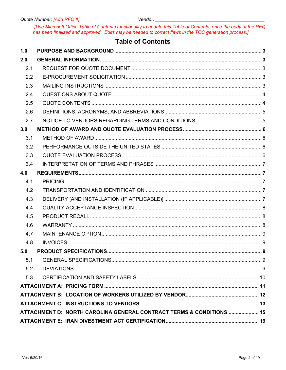Vendor:

[Use Microsoft Office Table of Contents functionality to update this Table of Contents, once the body of the RFQ<br>has been finalized and approved. Edits may be needed to correct flaws in the TOC generation process.]

## **Table of Contents**

| 1.0 |                                                                      |  |  |  |  |  |
|-----|----------------------------------------------------------------------|--|--|--|--|--|
| 2.0 |                                                                      |  |  |  |  |  |
| 2.1 |                                                                      |  |  |  |  |  |
| 2.2 |                                                                      |  |  |  |  |  |
| 2.3 |                                                                      |  |  |  |  |  |
| 2.4 |                                                                      |  |  |  |  |  |
| 2.5 |                                                                      |  |  |  |  |  |
| 2.6 |                                                                      |  |  |  |  |  |
| 2.7 |                                                                      |  |  |  |  |  |
| 3.0 |                                                                      |  |  |  |  |  |
| 3.1 |                                                                      |  |  |  |  |  |
| 3.2 |                                                                      |  |  |  |  |  |
| 3.3 |                                                                      |  |  |  |  |  |
| 3.4 |                                                                      |  |  |  |  |  |
| 4.0 |                                                                      |  |  |  |  |  |
| 4.1 |                                                                      |  |  |  |  |  |
| 4.2 |                                                                      |  |  |  |  |  |
| 4.3 |                                                                      |  |  |  |  |  |
| 4.4 |                                                                      |  |  |  |  |  |
| 4.5 |                                                                      |  |  |  |  |  |
| 4.6 |                                                                      |  |  |  |  |  |
| 4.7 |                                                                      |  |  |  |  |  |
| 4.8 |                                                                      |  |  |  |  |  |
| 5.0 |                                                                      |  |  |  |  |  |
| 5.1 |                                                                      |  |  |  |  |  |
| 5.2 |                                                                      |  |  |  |  |  |
| 5.3 |                                                                      |  |  |  |  |  |
|     |                                                                      |  |  |  |  |  |
|     |                                                                      |  |  |  |  |  |
|     |                                                                      |  |  |  |  |  |
|     | ATTACHMENT D: NORTH CAROLINA GENERAL CONTRACT TERMS & CONDITIONS  15 |  |  |  |  |  |
|     |                                                                      |  |  |  |  |  |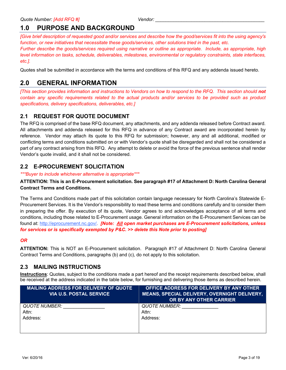## <span id="page-4-0"></span>**1.0 PURPOSE AND BACKGROUND**

*[Give brief description of requested good and/or services and describe how the good/services fit into the using agency's function, or new initiatives that necessitate these goods/services, other solutions tried in the past, etc.* 

*Further describe the goods/services required using narrative or outline as appropriate. Include, as appropriate, high level information on tasks, schedule, deliverables, milestones, environmental or regulatory constraints, state interfaces, etc.].*

Quotes shall be submitted in accordance with the terms and conditions of this RFQ and any addenda issued hereto.

## <span id="page-4-1"></span>**2.0 GENERAL INFORMATION**

*[This section provides information and instructions to Vendors on how to respond to the RFQ. This section should not contain any specific requirements related to the actual products and/or services to be provided such as product specifications, delivery specifications, deliverables, etc.]* 

## <span id="page-4-2"></span>**2.1 REQUEST FOR QUOTE DOCUMENT**

The RFQ is comprised of the base RFQ document, any attachments, and any addenda released before Contract award. All attachments and addenda released for this RFQ in advance of any Contract award are incorporated herein by reference. Vendor may attach its quote to this RFQ for submission; however, any and all additional, modified or conflicting terms and conditions submitted on or with Vendor's quote shall be disregarded and shall not be considered a part of any contract arising from this RFQ. Any attempt to delete or avoid the force of the previous sentence shall render Vendor's quote invalid, and it shall not be considered.

## <span id="page-4-3"></span>**2.2 E-PROCUREMENT SOLICITATION**

*\*\*\*Buyer to include whichever alternative is appropriate\*\*\**

#### **ATTENTION: This is an E-Procurement solicitation. See paragraph #17 of Attachment D: North Carolina General Contract Terms and Conditions.**

The Terms and Conditions made part of this solicitation contain language necessary for North Carolina's Statewide E-Procurement Services. It is the Vendor's responsibility to read these terms and conditions carefully and to consider them in preparing the offer. By execution of its quote, Vendor agrees to and acknowledges acceptance of all terms and conditions, including those related to E-Procurement usage. General information on the E-Procurement Services can be found at: [http://eprocurement.nc.gov/.](http://eprocurement.nc.gov/) *[Note: All open market purchases are E-Procurement solicitations, unless for services or is specifically exempted by P&C. >> delete this Note prior to posting]*

### *OR*

**ATTENTION:** This is NOT an E-Procurement solicitation. Paragraph #17 of Attachment D: North Carolina General Contract Terms and Conditions, paragraphs (b) and (c), do not apply to this solicitation.

## <span id="page-4-4"></span>**2.3 MAILING INSTRUCTIONS**

**Instructions**: Quotes, subject to the conditions made a part hereof and the receipt requirements described below, shall be received at the address indicated in the table below, for furnishing and delivering those items as described herein.

| <b>MAILING ADDRESS FOR DELIVERY OF QUOTE</b><br><b>VIA U.S. POSTAL SERVICE</b> | OFFICE ADDRESS FOR DELIVERY BY ANY OTHER<br><b>MEANS, SPECIAL DELIVERY, OVERNIGHT DELIVERY,</b><br>OR BY ANY OTHER CARRIER |
|--------------------------------------------------------------------------------|----------------------------------------------------------------------------------------------------------------------------|
| <b>QUOTE NUMBER:</b><br>Attn:                                                  | QUOTE NUMBER:<br>Attn:                                                                                                     |
| Address:                                                                       | Address:                                                                                                                   |
|                                                                                |                                                                                                                            |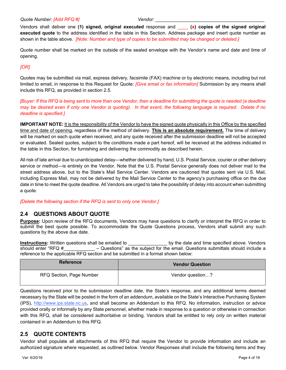#### *Quote Number: [Add RFQ #] Vendor: \_\_\_\_\_\_\_\_\_\_\_\_\_\_\_\_\_\_\_\_\_\_\_\_\_\_\_\_\_\_\_\_\_\_\_\_\_\_\_\_\_\_*

Vendors shall deliver one **(1) signed, original executed** response and \_\_\_\_ **(x) copies of the signed original executed quote** to the address identified in the table in this Section. Address package and insert quote number as shown in the table above. *[Note: Number and type of copies to be submitted may be changed or deleted.]*

Quote number shall be marked on the outside of the sealed envelope with the Vendor's name and date and time of opening.

#### *[OR]*

Quotes may be submitted via mail, express delivery, facsimile (FAX) machine or by electronic means, including but not limited to email, in response to this Request for Quote: *[Give email or fax information]* Submission by any means shall include this RFQ, as provided in section 2.5.

*[Buyer: If this RFQ is being sent to more than one Vendor, then a deadline for submitting the quote is needed (a deadline may be desired even if only one Vendor is quoting). In that event, the following language is required. Delete if no deadline is specified.]* 

**IMPORTANT NOTE:** It is the responsibility of the Vendor to have the signed quote physically in this Office by the specified time and date of opening, regardless of the method of delivery. **This is an absolute requirement.** The time of delivery will be marked on each quote when received, and any quote received after the submission deadline will not be accepted or evaluated. Sealed quotes, subject to the conditions made a part hereof, will be received at the address indicated in the table in this Section, for furnishing and delivering the commodity as described herein.

All risk of late arrival due to unanticipated delay—whether delivered by hand, U.S. Postal Service, courier or other delivery service or method—is entirely on the Vendor. Note that the U.S. Postal Service generally does not deliver mail to the street address above, but to the State's Mail Service Center. Vendors are cautioned that quotes sent via U.S. Mail, including Express Mail, may not be delivered by the Mail Service Center to the agency's purchasing office on the due date in time to meet the quote deadline. All Vendors are urged to take the possibility of delay into account when submitting a quote.

*[Delete the following section if the RFQ is sent to only one Vendor.]*

### <span id="page-5-0"></span>**2.4 QUESTIONS ABOUT QUOTE**

**Purpose:** Upon review of the RFQ documents, Vendors may have questions to clarify or interpret the RFQ in order to submit the best quote possible. To accommodate the Quote Questions process, Vendors shall submit any such questions by the above due date.

**Instructions:** Written questions shall be emailed to **Lack by the date and time specified above. Vendors** should enter "RFQ  $\#$   $\qquad -$  Questions" as the subject for the email. Questions submittals should include a reference to the applicable RFQ section and be submitted in a format shown below:

| <b>Reference</b>         | <b>Vendor Question</b> |
|--------------------------|------------------------|
| RFQ Section, Page Number | Vendor question?       |

Questions received prior to the submission deadline date, the State's response, and any additional terms deemed necessary by the State will be posted in the form of an addendum, available on the State's Interactive Purchasing System (IPS), [http://www.ips.state.nc.us,](http://www.ips.state.nc.us/) and shall become an Addendum to this RFQ. No information, instruction or advice provided orally or informally by any State personnel, whether made in response to a question or otherwise in connection with this RFQ, shall be considered authoritative or binding. Vendors shall be entitled to rely *only* on written material contained in an Addendum to this RFQ.

## <span id="page-5-1"></span>**2.5 QUOTE CONTENTS**

Vendor shall populate all attachments of this RFQ that require the Vendor to provide information and include an authorized signature where requested, as outlined below. Vendor Responses shall include the following items and they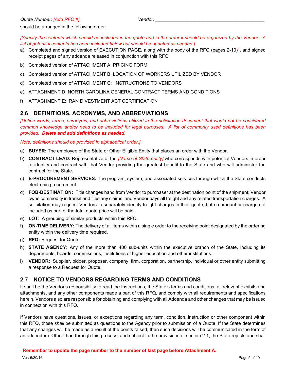should be arranged in the following order:

*[Specify the contents which should be included in the quote and in the order it should be organized by the Vendor. A list of potential contents has been included below but should be updated as needed.]* 

- a) Completed and signed version of EXECUTION PAGE, along with the body of the RFQ (pages 2-[1](#page-6-2)0)<sup>1</sup>, and signed receipt pages of any addenda released in conjunction with this RFQ.
- b) Completed version of ATTACHMENT A: PRICING FORM
- c) Completed version of ATTACHMENT B: LOCATION OF WORKERS UTILIZED BY VENDOR
- d) Completed version of ATTACHMENT C: INSTRUCTIONS TO VENDORS
- e) ATTACHMENT D: NORTH CAROLINA GENERAL CONTRACT TERMS AND CONDITIONS
- f) ATTACHMENT E: IRAN DIVESTMENT ACT CERTIFICATION

#### <span id="page-6-0"></span>**2.6 DEFINITIONS, ACRONYMS, AND ABBREVIATIONS**

*[Define words, terms, acronyms, and abbreviations utilized in the solicitation document that would not be considered common knowledge and/or need to be included for legal purposes. A list of commonly used definitions has been provided. Delete and add definitions as needed.* 

#### *Note, definitions should be provided in alphabetical order.]*

- a) **BUYER:** The employee of the State or Other Eligible Entity that places an order with the Vendor.
- b) **CONTRACT LEAD:** Representative of the *[Name of State entity]* who corresponds with potential Vendors in order to identify and contract with that Vendor providing the greatest benefit to the State and who will administer the contract for the State.
- c) **E-PROCUREMENT SERVICES:** The program, system, and associated services through which the State conducts electronic procurement.
- d) **FOB-DESTINATION:** Title changes hand from Vendor to purchaser at the destination point of the shipment; Vendor owns commodity in transit and files any claims, and Vendor pays all freight and any related transportation charges. A solicitation may request Vendors to separately identify freight charges in their quote, but no amount or charge not included as part of the total quote price will be paid.
- e) **LOT**: A grouping of similar products within this RFQ.
- f) **ON-TIME DELIVERY:** The delivery of all items within a single order to the receiving point designated by the ordering entity within the delivery time required.
- g) **RFQ:** Request for Quote.
- h) **STATE AGENCY:** Any of the more than 400 sub-units within the executive branch of the State, including its departments, boards, commissions, institutions of higher education and other institutions.
- i) **VENDOR:** Supplier, bidder, proposer, company, firm, corporation, partnership, individual or other entity submitting a response to a Request for Quote.

#### <span id="page-6-1"></span>**2.7 NOTICE TO VENDORS REGARDING TERMS AND CONDITIONS**

It shall be the Vendor's responsibility to read the Instructions, the State's terms and conditions, all relevant exhibits and attachments, and any other components made a part of this RFQ, and comply with all requirements and specifications herein. Vendors also are responsible for obtaining and complying with all Addenda and other changes that may be issued in connection with this RFQ.

If Vendors have questions, issues, or exceptions regarding any term, condition, instruction or other component within this RFQ, those *shall* be submitted as questions to the Agency prior to submission of a Quote. If the State determines that any changes will be made as a result of the points raised, then such decisions will be communicated in the form of an addendum. Other than through this process, and subject to the provisions of section 2.1, the State rejects and shall

<span id="page-6-2"></span> $\overline{a}$ <sup>1</sup> **Remember to update the page number to the number of last page before Attachment A.**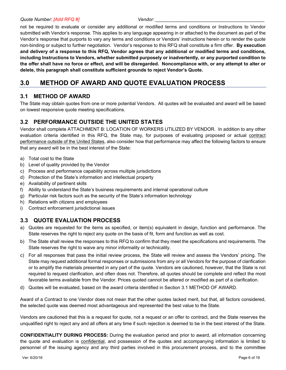not be required to evaluate or consider any additional or modified terms and conditions or Instructions to Vendor submitted with Vendor's response. This applies to any language appearing in or attached to the document as part of the Vendor's response that purports to vary any terms and conditions or Vendors' instructions herein or to render the quote non-binding or subject to further negotiation. Vendor's response to this RFQ shall constitute a firm offer. **By execution and delivery of a response to this RFQ, Vendor agrees that any additional or modified terms and conditions, including Instructions to Vendors, whether submitted purposely or inadvertently, or any purported condition to the offer shall have no force or effect, and will be disregarded. Noncompliance with, or any attempt to alter or delete, this paragraph shall constitute sufficient grounds to reject Vendor's Quote.**

## <span id="page-7-0"></span>**3.0 METHOD OF AWARD AND QUOTE EVALUATION PROCESS**

## <span id="page-7-1"></span>**3.1 METHOD OF AWARD**

The State may obtain quotes from one or more potential Vendors. All quotes will be evaluated and award will be based on lowest responsive quote meeting specifications.

## <span id="page-7-2"></span>**3.2 PERFORMANCE OUTSIDE THE UNITED STATES**

Vendor shall complete ATTACHMENT B: LOCATION OF WORKERS UTILIZED BY VENDOR. In addition to any other evaluation criteria identified in this RFQ, the State may, for purposes of evaluating proposed or actual contract performance outside of the United States, also consider how that performance may affect the following factors to ensure that any award will be in the best interest of the State:

- a) Total cost to the State
- b) Level of quality provided by the Vendor
- c) Process and performance capability across multiple jurisdictions
- d) Protection of the State's information and intellectual property
- e) Availability of pertinent skills
- f) Ability to understand the State's business requirements and internal operational culture
- g) Particular risk factors such as the security of the State's information technology
- h) Relations with citizens and employees
- i) Contract enforcement jurisdictional issues

## <span id="page-7-3"></span>**3.3 QUOTE EVALUATION PROCESS**

- a) Quotes are requested for the items as specified, or item(s) equivalent in design, function and performance. The State reserves the right to reject any quote on the basis of fit, form and function as well as cost.
- b) The State shall review the responses to this RFQ to confirm that they meet the specifications and requirements. The State reserves the right to waive any minor informality or technicality.
- c) For all responses that pass the initial review process, the State will review and assess the Vendors' pricing. The State may request additional formal responses or submissions from any or all Vendors for the purpose of clarification or to amplify the materials presented in any part of the quote. Vendors are cautioned, however, that the State is not required to request clarification, and often does not. Therefore, all quotes should be complete and reflect the most favorable terms available from the Vendor. Prices quoted cannot be altered or modified as part of a clarification.
- d) Quotes will be evaluated, based on the award criteria identified in Section 3.1 METHOD OF AWARD.

Award of a Contract to one Vendor does not mean that the other quotes lacked merit, but that, all factors considered, the selected quote was deemed most advantageous and represented the best value to the State.

Vendors are cautioned that this is a request for quote, not a request or an offer to contract, and the State reserves the unqualified right to reject any and all offers at any time if such rejection is deemed to be in the best interest of the State.

**CONFIDENTIALITY DURING PROCESS:** During the evaluation period and prior to award, all information concerning the quote and evaluation is confidential, and possession of the quotes and accompanying information is limited to personnel of the issuing agency and any third parties involved in this procurement process, and to the committee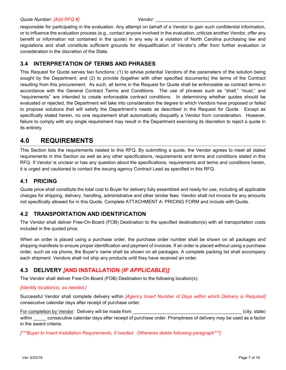responsible for participating in the evaluation. Any attempt on behalf of a Vendor to gain such confidential information, or to influence the evaluation process (e.g., contact anyone involved in the evaluation, criticize another Vendor, offer any benefit or information not contained in the quote) in any way is a violation of North Carolina purchasing law and regulations and shall constitute sufficient grounds for disqualification of Vendor's offer from further evaluation or consideration in the discretion of the State.

## <span id="page-8-0"></span>**3.4 INTERPRETATION OF TERMS AND PHRASES**

This Request for Quote serves two functions: (1) to advise potential Vendors of the parameters of the solution being sought by the Department; and (2) to provide (together with other specified documents) the terms of the Contract resulting from this procurement. As such, all terms in the Request for Quote shall be enforceable as contract terms in accordance with the General Contract Terms and Conditions. The use of phrases such as "shall," "must," and "requirements" are intended to create enforceable contract conditions. In determining whether quotes should be evaluated or rejected, the Department will take into consideration the degree to which Vendors have proposed or failed to propose solutions that will satisfy the Department's needs as described in the Request for Quote. Except as specifically stated herein, no one requirement shall automatically disqualify a Vendor from consideration. However, failure to comply with any single requirement may result in the Department exercising its discretion to reject a quote in its entirety.

## <span id="page-8-1"></span>**4.0 REQUIREMENTS**

This Section lists the requirements related to this RFQ. By submitting a quote, the Vendor agrees to meet all stated requirements in this Section as well as any other specifications, requirements and terms and conditions stated in this RFQ. If Vendor is unclear or has any question about the specifications, requirements and terms and conditions herein, it is urged and cautioned to contact the issuing agency Contract Lead as specified in this RFQ.

## <span id="page-8-2"></span>**4.1 PRICING**

Quote price shall constitute the total cost to Buyer for delivery fully assembled and ready for use, including all applicable charges for shipping, delivery, handling, administrative and other similar fees. Vendor shall not invoice for any amounts not specifically allowed for in this Quote. Complete ATTACHMENT A: PRICING FORM and include with Quote.

## <span id="page-8-3"></span>**4.2 TRANSPORTATION AND IDENTIFICATION**

The Vendor shall deliver Free-On-Board (FOB) Destination to the specified destination(s) with all transportation costs included in the quoted price.

When an order is placed using a purchase order, the purchase order number shall be shown on all packages and shipping manifests to ensure proper identification and payment of invoices. If an order is placed without using a purchase order, such as via phone, the Buyer's name shall be shown on all packages. A complete packing list shall accompany each shipment. Vendors shall not ship any products until they have received an order.

## <span id="page-8-4"></span>**4.3 DELIVERY** *[***AND INSTALLATION** *(IF APPLICABLE)]*

The Vendor shall deliver Free-On-Board (FOB) Destination to the following location(s):

#### *[Identify location(s), as needed.]*

Successful Vendor shall complete delivery within *[Agency Insert Number of Days within which Delivery is Required]* consecutive calendar days after receipt of purchase order.

For completion by Vendor: Delivery will be made from example the state of the state of the state of the state of the state of the state of the state of the state of the state of the state of the state of the state of the s within consecutive calendar days after receipt of purchase order. Promptness of delivery may be used as a factor in the award criteria.

*[\*\*\*Buyer to Insert Installation Requirements, if needed. Otherwise delete following paragraph\*\*\*]*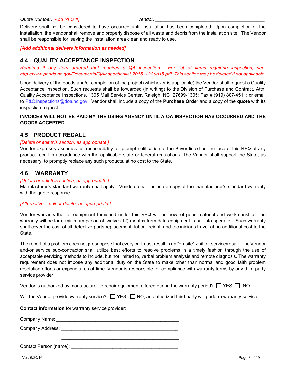Delivery shall not be considered to have occurred until installation has been completed. Upon completion of the installation, the Vendor shall remove and properly dispose of all waste and debris from the installation site. The Vendor shall be responsible for leaving the installation area clean and ready to use.

#### *[Add additional delivery information as needed]*

#### <span id="page-9-0"></span>**4.4 QUALITY ACCEPTANCE INSPECTION**

*Required if any item ordered that requires a QA inspection. For list of items requiring inspection, see: [http://www.pandc.nc.gov/Documents/QAinspectionlist-2015\\_12Aug15.pdf. T](http://www.pandc.nc.gov/Documents/QAinspectionlist-2015_12Aug15.pdf)his section may be deleted if not applicable.*

Upon delivery of the goods and/or completion of the project (whichever is applicable) the Vendor shall request a Quality Acceptance Inspection. Such requests shall be forwarded (in writing) to the Division of Purchase and Contract, Attn: Quality Acceptance Inspections, 1305 Mail Service Center, Raleigh, NC 27699-1305; Fax # (919) 807-4511; or email to [P&C.inspections@doa.nc.gov.](mailto:P&C.inspections@doa.nc.gov) Vendor shall include a copy of the **Purchase Order** and a copy of the **quote** with its inspection request.

#### **INVOICES WILL NOT BE PAID BY THE USING AGENCY UNTIL A QA INSPECTION HAS OCCURRED AND THE GOODS ACCEPTED.**

#### <span id="page-9-1"></span>**4.5 PRODUCT RECALL**

#### *[Delete or edit this section, as appropriate.]*

Vendor expressly assumes full responsibility for prompt notification to the Buyer listed on the face of this RFQ of any product recall in accordance with the applicable state or federal regulations. The Vendor shall support the State, as necessary, to promptly replace any such products, at no cost to the State.

### <span id="page-9-2"></span>**4.6 WARRANTY**

#### *[Delete or edit this section, as appropriate.]*

Manufacturer's standard warranty shall apply. Vendors shall include a copy of the manufacturer's standard warranty with the quote response.

#### *[Alternative – edit or delete, as appropriate.]*

Vendor warrants that all equipment furnished under this RFQ will be new, of good material and workmanship. The warranty will be for a minimum period of twelve (12) months from date equipment is put into operation. Such warranty shall cover the cost of all defective parts replacement, labor, freight, and technicians travel at no additional cost to the State.

The report of a problem does not presuppose that every call must result in an "on-site" visit for service/repair. The Vendor and/or service sub-contractor shall utilize best efforts to resolve problems in a timely fashion through the use of acceptable servicing methods to include, but not limited to, verbal problem analysis and remote diagnosis. The warranty requirement does not impose any additional duty on the State to make other than normal and good faith problem resolution efforts or expenditures of time. Vendor is responsible for compliance with warranty terms by any third-party service provider.

Vendor is authorized by manufacturer to repair equipment offered during the warranty period?  $\Box$  YES  $\Box$  NO

|  |  | Will the Vendor provide warranty service? $\Box$ YES $\Box$ NO, an authorized third party will perform warranty service |  |
|--|--|-------------------------------------------------------------------------------------------------------------------------|--|
|--|--|-------------------------------------------------------------------------------------------------------------------------|--|

**Contact information** for warranty service provider:

| Company Name: |  |
|---------------|--|
|               |  |

Company Address: **Example 20** and 20 and 20 and 20 and 20 and 20 and 20 and 20 and 20 and 20 and 20 and 20 and 20 and 20 and 20 and 20 and 20 and 20 and 20 and 20 and 20 and 20 and 20 and 20 and 20 and 20 and 20 and 20 and

Contact Person (name): \_\_\_\_\_\_\_\_\_\_\_\_\_\_\_\_\_\_\_\_\_\_\_\_\_\_\_\_\_\_\_\_\_\_\_\_\_\_\_\_\_

\_\_\_\_\_\_\_\_\_\_\_\_\_\_\_\_\_\_\_\_\_\_\_\_\_\_\_\_\_\_\_\_\_\_\_\_\_\_\_\_\_\_\_\_\_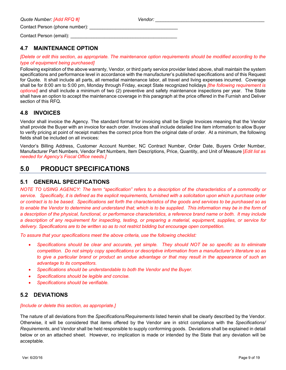### <span id="page-10-0"></span>**4.7 MAINTENANCE OPTION**

*[Delete or edit this section, as appropriate. The maintenance option requirements should be modified according to the type of equipment being purchased]* 

Following expiration of the above warranty, Vendor, or third party service provider listed above, shall maintain the system specifications and performance level in accordance with the manufacturer's published specifications and of this Request for Quote. It shall include all parts, all remedial maintenance labor, all travel and living expenses incurred. Coverage shall be for 8:00 am to 5:00 pm, Monday through Friday, except State recognized holidays *[the following requirement is optional]* and shall include a minimum of two (2) preventive and safety maintenance inspections per year. The State shall have an option to accept the maintenance coverage in this paragraph at the price offered in the Furnish and Deliver section of this RFQ.

### <span id="page-10-1"></span>**4.8 INVOICES**

Vendor shall invoice the Agency. The standard format for invoicing shall be Single Invoices meaning that the Vendor shall provide the Buyer with an invoice for each order. Invoices shall include detailed line item information to allow Buyer to verify pricing at point of receipt matches the correct price from the original date of order. At a minimum, the following fields shall be included on all invoices:

Vendor's Billing Address, Customer Account Number, NC Contract Number, Order Date, Buyers Order Number, Manufacturer Part Numbers, Vendor Part Numbers, Item Descriptions, Price, Quantity, and Unit of Measure [*Edit list as needed for Agency's Fiscal Office needs.]*

## <span id="page-10-2"></span>**5.0 PRODUCT SPECIFICATIONS**

#### <span id="page-10-3"></span>**5.1 GENERAL SPECIFICATIONS**

*NOTE TO USING AGENCY: The term "specification" refers to a description of the characteristics of a commodity or service. Specifically, it is defined as the explicit requirements, furnished with a solicitation upon which a purchase order or contract is to be based. Specifications set forth the characteristics of the goods and services to be purchased so as to enable the Vendor to determine and understand that; which is to be supplied. This information may be in the form of a description of the physical, functional, or performance characteristics, a reference brand name or both. It may include a description of any requirement for inspecting, testing, or preparing a material, equipment, supplies, or service for delivery. Specifications are to be written so as to not restrict bidding but encourage open competition.* 

*To assure that your specifications meet the above criteria, use the following checklist:*

- *Specifications should be clear and accurate, yet simple. They should NOT be so specific as to eliminate competition. Do not simply copy specifications or descriptive information from a manufacturer's literature so as*  to give a particular brand or product an undue advantage or that may result in the appearance of such an *advantage to its competitors.*
- *Specifications should be understandable to both the Vendor and the Buyer.*
- *Specifications should be legible and concise.*
- *Specifications should be verifiable.*

### <span id="page-10-4"></span>**5.2 DEVIATIONS**

#### *[Include or delete this section, as appropriate.]*

The nature of all deviations from the *Specifications/Requirements* listed herein shall be clearly described by the Vendor. Otherwise, it will be considered that items offered by the Vendor are in strict compliance with the *Specifications/ Requirements*, and Vendor shall be held responsible to supply conforming goods. Deviations shall be explained in detail below or on an attached sheet. However, no implication is made or intended by the State that any deviation will be acceptable.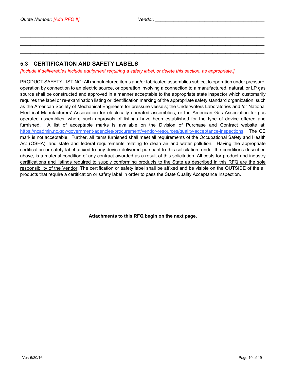**\_\_\_\_\_\_\_\_\_\_\_\_\_\_\_\_\_\_\_\_\_\_\_\_\_\_\_\_\_\_\_\_\_\_\_\_\_\_\_\_\_\_\_\_\_\_\_\_\_\_\_\_\_\_\_\_\_\_\_\_\_\_\_\_\_\_\_\_\_\_\_\_\_\_\_\_\_\_\_\_\_\_\_\_\_\_\_\_\_\_\_\_\_\_** \_\_\_\_\_\_\_\_\_\_\_\_\_\_\_\_\_\_\_\_\_\_\_\_\_\_\_\_\_\_\_\_\_\_\_\_\_\_\_\_\_\_\_\_\_\_\_\_\_\_\_\_\_\_\_\_\_\_\_\_\_\_\_\_\_\_\_\_\_\_\_\_\_\_\_\_\_\_\_\_\_\_\_\_\_\_\_\_\_\_\_\_\_\_ \_\_\_\_\_\_\_\_\_\_\_\_\_\_\_\_\_\_\_\_\_\_\_\_\_\_\_\_\_\_\_\_\_\_\_\_\_\_\_\_\_\_\_\_\_\_\_\_\_\_\_\_\_\_\_\_\_\_\_\_\_\_\_\_\_\_\_\_\_\_\_\_\_\_\_\_\_\_\_\_\_\_\_\_\_\_\_\_\_\_\_\_\_\_ \_\_\_\_\_\_\_\_\_\_\_\_\_\_\_\_\_\_\_\_\_\_\_\_\_\_\_\_\_\_\_\_\_\_\_\_\_\_\_\_\_\_\_\_\_\_\_\_\_\_\_\_\_\_\_\_\_\_\_\_\_\_\_\_\_\_\_\_\_\_\_\_\_\_\_\_\_\_\_\_\_\_\_\_\_\_\_\_\_\_\_\_\_\_

## <span id="page-11-0"></span>**5.3 CERTIFICATION AND SAFETY LABELS**

*[Include if deliverables include equipment requiring a safety label, or delete this section, as appropriate.]*

PRODUCT SAFETY LISTING: All manufactured items and/or fabricated assemblies subject to operation under pressure, operation by connection to an electric source, or operation involving a connection to a manufactured, natural, or LP gas source shall be constructed and approved in a manner acceptable to the appropriate state inspector which customarily requires the label or re-examination listing or identification marking of the appropriate safety standard organization; such as the American Society of Mechanical Engineers for pressure vessels; the Underwriters Laboratories and /or National Electrical Manufacturers' Association for electrically operated assemblies; or the American Gas Association for gas operated assemblies, where such approvals of listings have been established for the type of device offered and furnished. A list of acceptable marks is available on the Division of Purchase and Contract website at: [https://ncadmin.nc.gov/government-agencies/procurement/vendor-resources/quality-acceptance-inspections.](https://ncadmin.nc.gov/government-agencies/procurement/vendor-resources/quality-acceptance-inspections) The CE mark is not acceptable. Further, all items furnished shall meet all requirements of the Occupational Safety and Health Act (OSHA), and state and federal requirements relating to clean air and water pollution. Having the appropriate certification or safety label affixed to any device delivered pursuant to this solicitation, under the conditions described above, is a material condition of any contract awarded as a result of this solicitation. All costs for product and industry certifications and listings required to supply conforming products to the State as described in this RFQ are the sole responsibility of the Vendor. The certification or safety label shall be affixed and be visible on the OUTSIDE of the all products that require a certification or safety label in order to pass the State Quality Acceptance Inspection.

**Attachments to this RFQ begin on the next page.**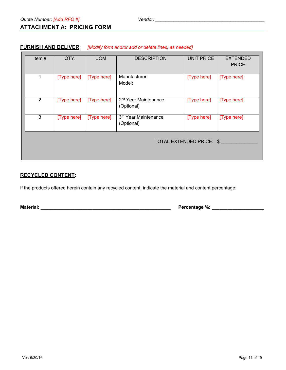## <span id="page-12-0"></span>**ATTACHMENT A: PRICING FORM**

| Item $#$                 | QTY.        | <b>UOM</b>  | <b>DESCRIPTION</b>               | <b>UNIT PRICE</b> | <b>EXTENDED</b> |
|--------------------------|-------------|-------------|----------------------------------|-------------------|-----------------|
|                          |             |             |                                  |                   | <b>PRICE</b>    |
|                          |             |             |                                  |                   |                 |
|                          |             |             |                                  |                   |                 |
| $\mathbf 1$              | [Type here] | [Type here] | Manufacturer:                    | [Type here]       | [Type here]     |
|                          |             |             | Model:                           |                   |                 |
|                          |             |             |                                  |                   |                 |
|                          |             |             |                                  |                   |                 |
|                          |             |             |                                  |                   |                 |
| $\overline{2}$           | [Type here] | [Type here] | 2 <sup>nd</sup> Year Maintenance | [Type here]       | [Type here]     |
|                          |             |             | (Optional)                       |                   |                 |
|                          |             |             |                                  |                   |                 |
| 3 <sup>1</sup>           | [Type here] | [Type here] | 3rd Year Maintenance             | [Type here]       | [Type here]     |
|                          |             |             |                                  |                   |                 |
|                          |             |             | (Optional)                       |                   |                 |
|                          |             |             |                                  |                   |                 |
|                          |             |             |                                  |                   |                 |
| TOTAL EXTENDED PRICE: \$ |             |             |                                  |                   |                 |
|                          |             |             |                                  |                   |                 |
|                          |             |             |                                  |                   |                 |
|                          |             |             |                                  |                   |                 |
|                          |             |             |                                  |                   |                 |

#### **FURNISH AND DELIVER:** *[Modify form and/or add or delete lines, as needed]*

### **RECYCLED CONTENT:**

If the products offered herein contain any recycled content, indicate the material and content percentage:

**Material: \_\_\_\_\_\_\_\_\_\_\_\_\_\_\_\_\_\_\_\_\_\_\_\_\_\_\_\_\_\_\_\_\_\_\_\_\_\_\_\_\_\_\_\_\_\_\_\_\_\_ Percentage %: \_\_\_\_\_\_\_\_\_\_\_\_\_\_\_\_\_\_\_\_**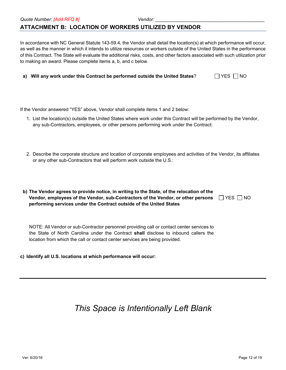## <span id="page-13-0"></span>**ATTACHMENT B: LOCATION OF WORKERS UTILIZED BY VENDOR**

In accordance with NC General Statute 143-59.4, the Vendor shall detail the location(s) at which performance will occur, as well as the manner in which it intends to utilize resources or workers outside of the United States in the performance of this Contract. The State will evaluate the additional risks, costs, and other factors associated with such utilization prior to making an award. Please complete items a, b, and c below.

|  | a) Will any work under this Contract be performed outside the United States? | $\Box$ YES $\Box$ NO |
|--|------------------------------------------------------------------------------|----------------------|
|--|------------------------------------------------------------------------------|----------------------|

If the Vendor answered "YES" above, Vendor shall complete items 1 and 2 below:

- 1. List the location(s) outside the United States where work under this Contract will be performed by the Vendor, any sub-Contractors, employees, or other persons performing work under the Contract:
- 2. Describe the corporate structure and location of corporate employees and activities of the Vendor, its affiliates or any other sub-Contractors that will perform work outside the U.S.:

| b) The Vendor agrees to provide notice, in writing to the State, of the relocation of the             |  |
|-------------------------------------------------------------------------------------------------------|--|
| Vendor, employees of the Vendor, sub-Contractors of the Vendor, or other persons $\Box$ YES $\Box$ NO |  |
| performing services under the Contract outside of the United States                                   |  |

NOTE: All Vendor or sub-Contractor personnel providing call or contact center services to the State of North Carolina under the Contract **shall** disclose to inbound callers the location from which the call or contact center services are being provided.

**c) Identify all U.S. locations at which performance will occur:**

# *This Space is Intentionally Left Blank*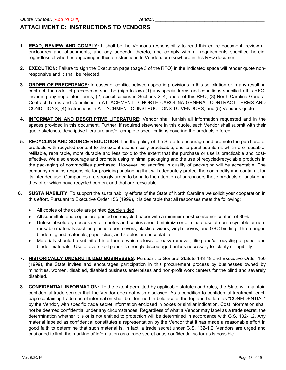### <span id="page-14-0"></span>**ATTACHMENT C: INSTRUCTIONS TO VENDORS**

- **1. READ, REVIEW AND COMPLY:** It shall be the Vendor's responsibility to read this entire document, review all enclosures and attachments, and any addenda thereto, and comply with all requirements specified herein, regardless of whether appearing in these Instructions to Vendors or elsewhere in this RFQ document.
- **2. EXECUTION:** Failure to sign the Execution page (page 3 of the RFQ) in the indicated space will render quote nonresponsive and it shall be rejected.
- **3. ORDER OF PRECEDENCE:** In cases of conflict between specific provisions in this solicitation or in any resulting contract, the order of precedence shall be (high to low) (1) any special terms and conditions specific to this RFQ, including any negotiated terms; (2) specifications in Sections 2, 4, and 5 of this RFQ; (3) North Carolina General Contract Terms and Conditions in ATTACHMENT D: NORTH CAROLINA GENERAL CONTRACT TERMS AND CONDITIONS; (4) Instructions in ATTACHMENT C: INSTRUCTIONS TO VENDORS; and (5) Vendor's quote.
- **4. INFORMATION AND DESCRIPTIVE LITERATURE:** Vendor shall furnish all information requested and in the spaces provided in this document. Further, if required elsewhere in this quote, each Vendor shall submit with their quote sketches, descriptive literature and/or complete specifications covering the products offered.
- **5. RECYCLING AND SOURCE REDUCTION:** It is the policy of the State to encourage and promote the purchase of products with recycled content to the extent economically practicable, and to purchase items which are reusable, refillable, repairable, more durable and less toxic to the extent that the purchase or use is practicable and costeffective. We also encourage and promote using minimal packaging and the use of recycled/recyclable products in the packaging of commodities purchased. However, no sacrifice in quality of packaging will be acceptable. The company remains responsible for providing packaging that will adequately protect the commodity and contain it for its intended use. Companies are strongly urged to bring to the attention of purchasers those products or packaging they offer which have recycled content and that are recyclable.
- **6. SUSTAINABILITY**: To support the sustainability efforts of the State of North Carolina we solicit your cooperation in this effort. Pursuant to Executive Order 156 (1999), it is desirable that all responses meet the following:
	- All copies of the quote are printed double sided.
	- All submittals and copies are printed on recycled paper with a minimum post-consumer content of 30%.
	- Unless absolutely necessary, all quotes and copies should minimize or eliminate use of non-recyclable or nonreusable materials such as plastic report covers, plastic dividers, vinyl sleeves, and GBC binding. Three-ringed binders, glued materials, paper clips, and staples are acceptable.
	- Materials should be submitted in a format which allows for easy removal, filing and/or recycling of paper and binder materials. Use of oversized paper is strongly discouraged unless necessary for clarity or legibility.
- **7. HISTORICALLY UNDERUTILIZED BUSINESSES:** Pursuant to General Statute 143-48 and Executive Order 150 (1999), the State invites and encourages participation in this procurement process by businesses owned by minorities, women, disabled, disabled business enterprises and non-profit work centers for the blind and severely disabled.
- **8. CONFIDENTIAL INFORMATION:** To the extent permitted by applicable statutes and rules, the State will maintain confidential trade secrets that the Vendor does not wish disclosed. As a condition to confidential treatment, each page containing trade secret information shall be identified in boldface at the top and bottom as "CONFIDENTIAL" by the Vendor, with specific trade secret information enclosed in boxes or similar indication. Cost information shall not be deemed confidential under any circumstances. Regardless of what a Vendor may label as a trade secret, the determination whether it is or is not entitled to protection will be determined in accordance with G.S. 132-1.2. Any material labeled as confidential constitutes a representation by the Vendor that it has made a reasonable effort in good faith to determine that such material is, in fact, a trade secret under G.S. 132-1.2. Vendors are urged and cautioned to limit the marking of information as a trade secret or as confidential so far as is possible.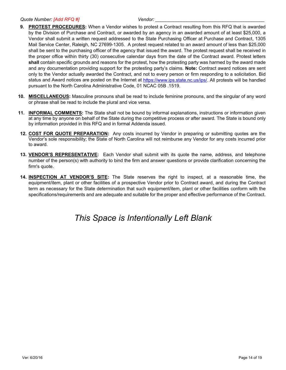#### *Quote Number: [Add RFQ #] Vendor: \_\_\_\_\_\_\_\_\_\_\_\_\_\_\_\_\_\_\_\_\_\_\_\_\_\_\_\_\_\_\_\_\_\_\_\_\_\_\_\_\_\_*

- **9. PROTEST PROCEDURES:** When a Vendor wishes to protest a Contract resulting from this RFQ that is awarded by the Division of Purchase and Contract, or awarded by an agency in an awarded amount of at least \$25,000, a Vendor shall submit a written request addressed to the State Purchasing Officer at Purchase and Contract, 1305 Mail Service Center, Raleigh, NC 27699-1305. A protest request related to an award amount of less than \$25,000 shall be sent to the purchasing officer of the agency that issued the award. The protest request shall be received in the proper office within thirty (30) consecutive calendar days from the date of the Contract award. Protest letters **shall** contain specific grounds and reasons for the protest, how the protesting party was harmed by the award made and any documentation providing support for the protesting party's claims. **Note:** Contract award notices are sent only to the Vendor actually awarded the Contract, and not to every person or firm responding to a solicitation. Bid status and Award notices are posted on the Internet at [https://www.ips.state.nc.us/ips/.](https://www.ips.state.nc.us/ips/) All protests will be handled pursuant to the North Carolina Administrative Code, 01 NCAC 05B .1519.
- **10. MISCELLANEOUS:** Masculine pronouns shall be read to include feminine pronouns, and the singular of any word or phrase shall be read to include the plural and vice versa.
- **11. INFORMAL COMMENTS:** The State shall not be bound by informal explanations, instructions or information given at any time by anyone on behalf of the State during the competitive process or after award. The State is bound only by information provided in this RFQ and in formal Addenda issued.
- **12. COST FOR QUOTE PREPARATION:** Any costs incurred by Vendor in preparing or submitting quotes are the Vendor's sole responsibility; the State of North Carolina will not reimburse any Vendor for any costs incurred prior to award.
- **13. VENDOR'S REPRESENTATIVE:** Each Vendor shall submit with its quote the name, address, and telephone number of the person(s) with authority to bind the firm and answer questions or provide clarification concerning the firm's quote.
- **14. INSPECTION AT VENDOR'S SITE:** The State reserves the right to inspect, at a reasonable time, the equipment/item, plant or other facilities of a prospective Vendor prior to Contract award, and during the Contract term as necessary for the State determination that such equipment/item, plant or other facilities conform with the specifications/requirements and are adequate and suitable for the proper and effective performance of the Contract.

# *This Space is Intentionally Left Blank*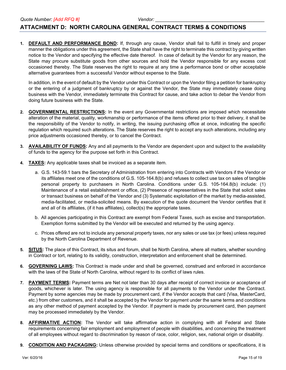#### <span id="page-16-0"></span>**ATTACHMENT D: NORTH CAROLINA GENERAL CONTRACT TERMS & CONDITIONS**

**1. DEFAULT AND PERFORMANCE BOND:** If, through any cause, Vendor shall fail to fulfill in timely and proper manner the obligations under this agreement, the State shall have the right to terminate this contract by giving written notice to the Vendor and specifying the effective date thereof. In case of default by the Vendor for any reason, the State may procure substitute goods from other sources and hold the Vendor responsible for any excess cost occasioned thereby. The State reserves the right to require at any time a performance bond or other acceptable alternative guarantees from a successful Vendor without expense to the State.

In addition, in the event of default by the Vendor under this Contract or upon the Vendor filing a petition for bankruptcy or the entering of a judgment of bankruptcy by or against the Vendor, the State may immediately cease doing business with the Vendor, immediately terminate this Contract for cause, and take action to debar the Vendor from doing future business with the State.

- **2. GOVERNMENTAL RESTRICTIONS:** In the event any Governmental restrictions are imposed which necessitate alteration of the material, quality, workmanship or performance of the items offered prior to their delivery, it shall be the responsibility of the Vendor to notify, in writing, the issuing purchasing office at once, indicating the specific regulation which required such alterations. The State reserves the right to accept any such alterations, including any price adjustments occasioned thereby, or to cancel the Contract.
- **3. AVAILABILITY OF FUNDS:** Any and all payments to the Vendor are dependent upon and subject to the availability of funds to the agency for the purpose set forth in this Contract.
- **4. TAXES:** Any applicable taxes shall be invoiced as a separate item.
	- a. G.S. 143-59.1 bars the Secretary of Administration from entering into Contracts with Vendors if the Vendor or its affiliates meet one of the conditions of G.S. 105-164.8(b) and refuses to collect use tax on sales of tangible personal property to purchasers in North Carolina. Conditions under G.S. 105-164.8(b) include: (1) Maintenance of a retail establishment or office, (2) Presence of representatives in the State that solicit sales or transact business on behalf of the Vendor and (3) Systematic exploitation of the market by media-assisted, media-facilitated, or media-solicited means. By execution of the quote document the Vendor certifies that it and all of its affiliates, (if it has affiliates), collect(s) the appropriate taxes.
	- b. All agencies participating in this Contract are exempt from Federal Taxes, such as excise and transportation. Exemption forms submitted by the Vendor will be executed and returned by the using agency.
	- c. Prices offered are not to include any personal property taxes, nor any sales or use tax (or fees) unless required by the North Carolina Department of Revenue.
- **5. SITUS:** The place of this Contract, its situs and forum, shall be North Carolina, where all matters, whether sounding in Contract or tort, relating to its validity, construction, interpretation and enforcement shall be determined.
- **6. GOVERNING LAWS:** This Contract is made under and shall be governed, construed and enforced in accordance with the laws of the State of North Carolina, without regard to its conflict of laws rules.
- **7. PAYMENT TERMS:** Payment terms are Net not later than 30 days after receipt of correct invoice or acceptance of goods, whichever is later. The using agency is responsible for all payments to the Vendor under the Contract. Payment by some agencies may be made by procurement card, if the Vendor accepts that card (Visa, MasterCard, etc.) from other customers, and it shall be accepted by the Vendor for payment under the same terms and conditions as any other method of payment accepted by the Vendor. If payment is made by procurement card, then payment may be processed immediately by the Vendor.
- **8. AFFIRMATIVE ACTION:** The Vendor will take affirmative action in complying with all Federal and State requirements concerning fair employment and employment of people with disabilities, and concerning the treatment of all employees without regard to discrimination by reason of race, color, religion, sex, national origin or disability.
- **9. CONDITION AND PACKAGING:** Unless otherwise provided by special terms and conditions or specifications, it is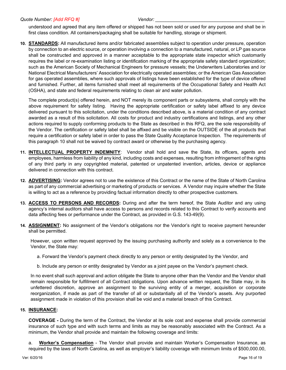understood and agreed that any item offered or shipped has not been sold or used for any purpose and shall be in first class condition. All containers/packaging shall be suitable for handling, storage or shipment.

**10. STANDARDS:** All manufactured items and/or fabricated assemblies subject to operation under pressure, operation by connection to an electric source, or operation involving a connection to a manufactured, natural, or LP gas source shall be constructed and approved in a manner acceptable to the appropriate state inspector which customarily requires the label or re-examination listing or identification marking of the appropriate safety standard organization; such as the American Society of Mechanical Engineers for pressure vessels; the Underwriters Laboratories and /or National Electrical Manufacturers' Association for electrically operated assemblies; or the American Gas Association for gas operated assemblies, where such approvals of listings have been established for the type of device offered and furnished. Further, all items furnished shall meet all requirements of the Occupational Safety and Health Act (OSHA), and state and federal requirements relating to clean air and water pollution.

The complete product(s) offered herein, and NOT merely its component parts or subsystems, shall comply with the above requirement for safety listing. Having the appropriate certification or safety label affixed to any device delivered pursuant to this solicitation, under the conditions described above, is a material condition of any contract awarded as a result of this solicitation. All costs for product and industry certifications and listings, and any other actions required to supply conforming products to the State as described in this RFQ, are the sole responsibility of the Vendor. The certification or safety label shall be affixed and be visible on the OUTSIDE of the all products that require a certification or safety label in order to pass the State Quality Acceptance Inspection. The requirements of this paragraph 10 shall not be waived by contract award or otherwise by the purchasing agency.

- **11. INTELLECTUAL PROPERTY INDEMNITY**: Vendor shall hold and save the State, its officers, agents and employees, harmless from liability of any kind, including costs and expenses, resulting from infringement of the rights of any third party in any copyrighted material, patented or unpatented invention, articles, device or appliance delivered in connection with this contract.
- **12. ADVERTISING:** Vendor agrees not to use the existence of this Contract or the name of the State of North Carolina as part of any commercial advertising or marketing of products or services. A Vendor may inquire whether the State is willing to act as a reference by providing factual information directly to other prospective customers.
- **13. ACCESS TO PERSONS AND RECORDS:** During and after the term hereof, the State Auditor and any using agency's internal auditors shall have access to persons and records related to this Contract to verify accounts and data affecting fees or performance under the Contract, as provided in G.S. 143-49(9).
- **14. ASSIGNMENT:** No assignment of the Vendor's obligations nor the Vendor's right to receive payment hereunder shall be permitted.

However, upon written request approved by the issuing purchasing authority and solely as a convenience to the Vendor, the State may:

- a. Forward the Vendor's payment check directly to any person or entity designated by the Vendor, and
- b. Include any person or entity designated by Vendor as a joint payee on the Vendor's payment check.

In no event shall such approval and action obligate the State to anyone other than the Vendor and the Vendor shall remain responsible for fulfillment of all Contract obligations. Upon advance written request, the State may, in its unfettered discretion, approve an assignment to the surviving entity of a merger, acquisition or corporate reorganization, if made as part of the transfer of all or substantially all of the Vendor's assets. Any purported assignment made in violation of this provision shall be void and a material breach of this Contract.

#### **15. INSURANCE:**

**COVERAGE -** During the term of the Contract, the Vendor at its sole cost and expense shall provide commercial insurance of such type and with such terms and limits as may be reasonably associated with the Contract. As a minimum, the Vendor shall provide and maintain the following coverage and limits:

a. **Worker's Compensation** - The Vendor shall provide and maintain Worker's Compensation Insurance, as required by the laws of North Carolina, as well as employer's liability coverage with minimum limits of \$500,000.00,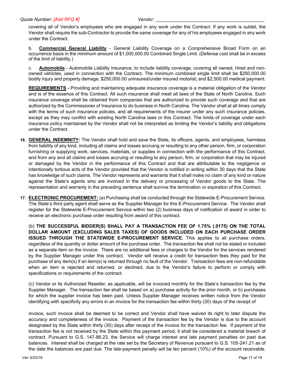covering all of Vendor's employees who are engaged in any work under the Contract. If any work is sublet, the Vendor shall require the sub-Contractor to provide the same coverage for any of his employees engaged in any work under the Contract.

b. **Commercial General Liability** - General Liability Coverage on a Comprehensive Broad Form on an occurrence basis in the minimum amount of \$1,000,000.00 Combined Single Limit. (Defense cost shall be in excess of the limit of liability.)

c. **Automobile** - Automobile Liability Insurance, to include liability coverage, covering all owned, hired and nonowned vehicles, used in connection with the Contract. The minimum combined single limit shall be \$250,000.00 bodily injury and property damage; \$250,000.00 uninsured/under insured motorist; and \$2,500.00 medical payment.

**REQUIREMENTS -** Providing and maintaining adequate insurance coverage is a material obligation of the Vendor and is of the essence of this Contract. All such insurance shall meet all laws of the State of North Carolina. Such insurance coverage shall be obtained from companies that are authorized to provide such coverage and that are authorized by the Commissioner of Insurance to do business in North Carolina. The Vendor shall at all times comply with the terms of such insurance policies, and all requirements of the insurer under any such insurance policies, except as they may conflict with existing North Carolina laws or this Contract. The limits of coverage under each insurance policy maintained by the Vendor shall not be interpreted as limiting the Vendor's liability and obligations under the Contract.

- **16. GENERAL INDEMNITY:** The Vendor shall hold and save the State, its officers, agents, and employees, harmless from liability of any kind, including all claims and losses accruing or resulting to any other person, firm, or corporation furnishing or supplying work, services, materials, or supplies in connection with the performance of this Contract, and from any and all claims and losses accruing or resulting to any person, firm, or corporation that may be injured or damaged by the Vendor in the performance of this Contract and that are attributable to the negligence or intentionally tortious acts of the Vendor provided that the Vendor is notified in writing within 30 days that the State has knowledge of such claims. The Vendor represents and warrants that it shall make no claim of any kind or nature against the State's agents who are involved in the delivery or processing of Vendor goods to the State. The representation and warranty in the preceding sentence shall survive the termination or expiration of this Contract.
- **17. ELECTRONIC PROCUREMENT:** (a) Purchasing shall be conducted through the Statewide E-Procurement Service. The State's third party agent shall serve as the Supplier Manager for this E-Procurement Service. The Vendor shall register for the Statewide E-Procurement Service within two (2) business days of notification of award in order to receive an electronic purchase order resulting from award of this contract.

(b) **THE SUCCESSFUL BIDDER(S) SHALL PAY A TRANSACTION FEE OF 1.75% (.0175) ON THE TOTAL DOLLAR AMOUNT (EXCLUDING SALES TAXES) OF GOODS INCLUDED ON EACH PURCHASE ORDER ISSUED THROUGH THE STATEWIDE E-PROCUREMENT SERVICE.** This applies to all purchase orders, regardless of the quantity or dollar amount of the purchase order. The transaction fee shall not be stated or included as a separate item on the invoice. There are no additional fees or charges to the Vendor for the services rendered by the Supplier Manager under this contract. Vendor will receive a credit for transaction fees they paid for the purchase of any item(s) if an item(s) is returned through no fault of the Vendor. Transaction fees are non-refundable when an item is rejected and returned, or declined, due to the Vendor's failure to perform or comply with specifications or requirements of the contract.

(c) Vendor or its Authorized Reseller, as applicable, will be invoiced monthly for the State's transaction fee by the Supplier Manager. The transaction fee shall be based on a) purchase activity for the prior month, or b) purchases for which the supplier invoice has been paid. Unless Supplier Manager receives written notice from the Vendor identifying with specificity any errors in an invoice for the transaction fee within thirty (30) days of the receipt of

invoice, such invoice shall be deemed to be correct and Vendor shall have waived its right to later dispute the accuracy and completeness of the invoice. Payment of the transaction fee by the Vendor is due to the account designated by the State within thirty (30) days after receipt of the invoice for the transaction fee. If payment of the transaction fee is not received by the State within this payment period, it shall be considered a material breach of contract. Pursuant to G.S. 147-86.23, the Service will charge interest and late payment penalties on past due balances. Interest shall be charged at the rate set by the Secretary of Revenue pursuant to G.S. 105-241.21 as of the date the balances are past due. The late-payment penalty will be ten percent (10%) of the account receivable.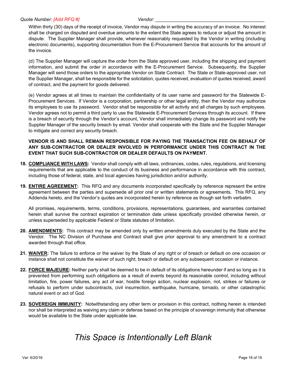Within thirty (30) days of the receipt of invoice, Vendor may dispute in writing the accuracy of an invoice. No interest shall be charged on disputed and overdue amounts to the extent the State agrees to reduce or adjust the amount in dispute. The Supplier Manager shall provide, whenever reasonably requested by the Vendor in writing (including electronic documents), supporting documentation from the E-Procurement Service that accounts for the amount of the invoice.

(d) The Supplier Manager will capture the order from the State approved user, including the shipping and payment information, and submit the order in accordance with the E-Procurement Service. Subsequently, the Supplier Manager will send those orders to the appropriate Vendor on State Contract. The State or State-approved user, not the Supplier Manager, shall be responsible for the solicitation, quotes received, evaluation of quotes received, award of contract, and the payment for goods delivered.

(e) Vendor agrees at all times to maintain the confidentiality of its user name and password for the Statewide E-Procurement Services. If Vendor is a corporation, partnership or other legal entity, then the Vendor may authorize its employees to use its password. Vendor shall be responsible for all activity and all charges by such employees. Vendor agrees not to permit a third party to use the Statewide E-Procurement Services through its account. If there is a breach of security through the Vendor's account, Vendor shall immediately change its password and notify the Supplier Manager of the security breach by email. Vendor shall cooperate with the State and the Supplier Manager to mitigate and correct any security breach.

#### **VENDOR IS AND SHALL REMAIN RESPONSIBLE FOR PAYING THE TRANSACTION FEE ON BEHALF OF ANY SUB-CONTRACTOR OR DEALER INVOLVED IN PERFORMANCE UNDER THIS CONTRACT IN THE EVENT THAT SUCH SUB-CONTRACTOR OR DEALER DEFAULTS ON PAYMENT.**

- **18. COMPLIANCE WITH LAWS:** Vendor shall comply with all laws, ordinances, codes, rules, regulations, and licensing requirements that are applicable to the conduct of its business and performance in accordance with this contract, including those of federal, state, and local agencies having jurisdiction and/or authority.
- **19. ENTIRE AGREEMENT:** This RFQ and any documents incorporated specifically by reference represent the entire agreement between the parties and supersede all prior oral or written statements or agreements. This RFQ, any Addenda hereto, and the Vendor's quotes are incorporated herein by reference as though set forth verbatim.

All promises, requirements, terms, conditions, provisions, representations, guarantees, and warranties contained herein shall survive the contract expiration or termination date unless specifically provided otherwise herein, or unless superseded by applicable Federal or State statutes of limitation.

- **20. AMENDMENTS:** This contract may be amended only by written amendments duly executed by the State and the Vendor. The NC Division of Purchase and Contract shall give prior approval to any amendment to a contract awarded through that office.
- **21. WAIVER:** The failure to enforce or the waiver by the State of any right or of breach or default on one occasion or instance shall not constitute the waiver of such right, breach or default on any subsequent occasion or instance.
- **22. FORCE MAJEURE:** Neither party shall be deemed to be in default of its obligations hereunder if and so long as it is prevented from performing such obligations as a result of events beyond its reasonable control, including without limitation, fire, power failures, any act of war, hostile foreign action, nuclear explosion, riot, strikes or failures or refusals to perform under subcontracts, civil insurrection, earthquake, hurricane, tornado, or other catastrophic natural event or act of God.
- **23. SOVEREIGN IMMUNITY:** Notwithstanding any other term or provision in this contract, nothing herein is intended nor shall be interpreted as waiving any claim or defense based on the principle of sovereign immunity that otherwise would be available to the State under applicable law.

# *This Space is Intentionally Left Blank*